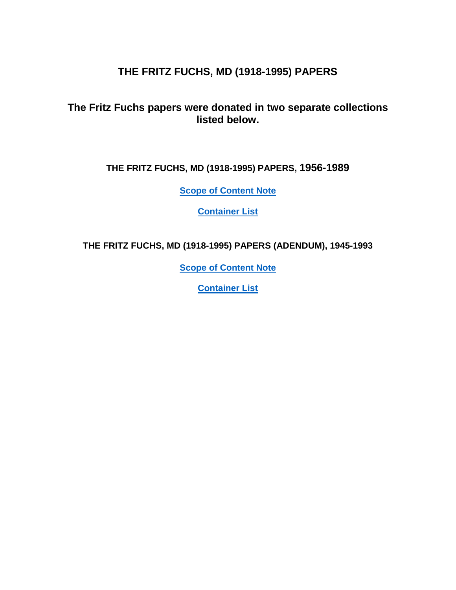# **THE FRITZ FUCHS, MD (1918-1995) PAPERS**

**The Fritz Fuchs papers were donated in two separate collections listed below.**

**THE FRITZ FUCHS, MD (1918-1995) PAPERS, 1956-1989**

**[Scope of Content Note](#page-2-0)**

**[Container List](#page-3-0)**

**THE FRITZ FUCHS, MD (1918-1995) PAPERS (ADENDUM), 1945-1993**

**[Scope of Content Note](#page-16-0)**

**[Container List](#page-17-0)**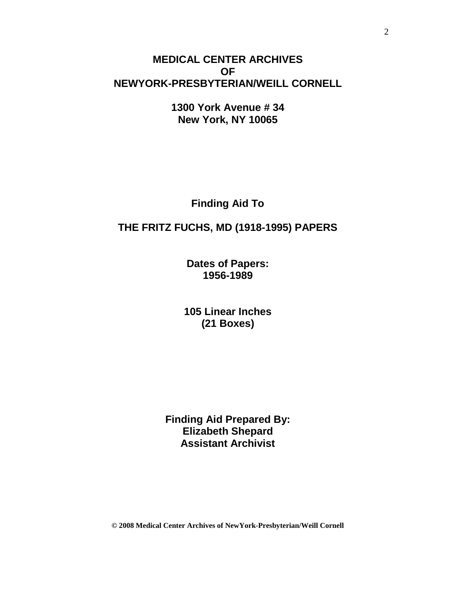# **MEDICAL CENTER ARCHIVES OF NEWYORK-PRESBYTERIAN/WEILL CORNELL**

**1300 York Avenue # 34 New York, NY 10065**

**Finding Aid To**

## **THE FRITZ FUCHS, MD (1918-1995) PAPERS**

**Dates of Papers: 1956-1989**

**105 Linear Inches (21 Boxes)**

**Finding Aid Prepared By: Elizabeth Shepard Assistant Archivist**

**© 2008 Medical Center Archives of NewYork-Presbyterian/Weill Cornell**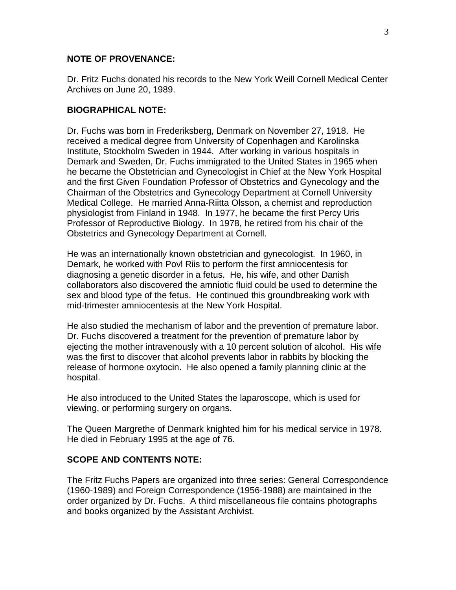### **NOTE OF PROVENANCE:**

Dr. Fritz Fuchs donated his records to the New York Weill Cornell Medical Center Archives on June 20, 1989.

#### **BIOGRAPHICAL NOTE:**

Dr. Fuchs was born in Frederiksberg, Denmark on November 27, 1918. He received a medical degree from University of Copenhagen and Karolinska Institute, Stockholm Sweden in 1944. After working in various hospitals in Demark and Sweden, Dr. Fuchs immigrated to the United States in 1965 when he became the Obstetrician and Gynecologist in Chief at the New York Hospital and the first Given Foundation Professor of Obstetrics and Gynecology and the Chairman of the Obstetrics and Gynecology Department at Cornell University Medical College. He married Anna-Riitta Olsson, a chemist and reproduction physiologist from Finland in 1948. In 1977, he became the first Percy Uris Professor of Reproductive Biology. In 1978, he retired from his chair of the Obstetrics and Gynecology Department at Cornell.

He was an internationally known obstetrician and gynecologist. In 1960, in Demark, he worked with Povl Riis to perform the first amniocentesis for diagnosing a genetic disorder in a fetus. He, his wife, and other Danish collaborators also discovered the amniotic fluid could be used to determine the sex and blood type of the fetus. He continued this groundbreaking work with mid-trimester amniocentesis at the New York Hospital.

He also studied the mechanism of labor and the prevention of premature labor. Dr. Fuchs discovered a treatment for the prevention of premature labor by ejecting the mother intravenously with a 10 percent solution of alcohol. His wife was the first to discover that alcohol prevents labor in rabbits by blocking the release of hormone oxytocin. He also opened a family planning clinic at the hospital.

He also introduced to the United States the laparoscope, which is used for viewing, or performing surgery on organs.

The Queen Margrethe of Denmark knighted him for his medical service in 1978. He died in February 1995 at the age of 76.

### <span id="page-2-0"></span>**SCOPE AND CONTENTS NOTE:**

The Fritz Fuchs Papers are organized into three series: General Correspondence (1960-1989) and Foreign Correspondence (1956-1988) are maintained in the order organized by Dr. Fuchs. A third miscellaneous file contains photographs and books organized by the Assistant Archivist.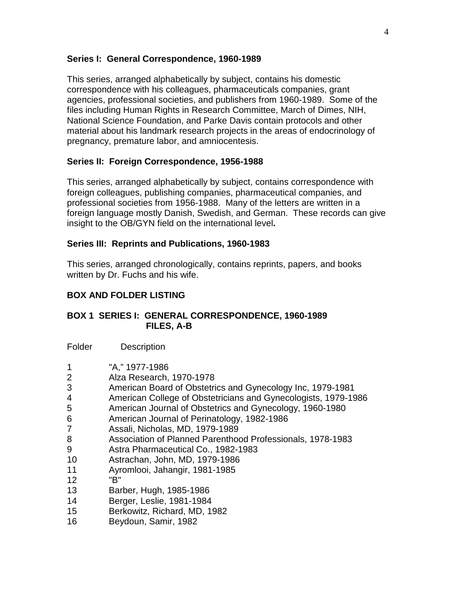### **Series I: General Correspondence, 1960-1989**

This series, arranged alphabetically by subject, contains his domestic correspondence with his colleagues, pharmaceuticals companies, grant agencies, professional societies, and publishers from 1960-1989. Some of the files including Human Rights in Research Committee, March of Dimes, NIH, National Science Foundation, and Parke Davis contain protocols and other material about his landmark research projects in the areas of endocrinology of pregnancy, premature labor, and amniocentesis.

## **Series II: Foreign Correspondence, 1956-1988**

This series, arranged alphabetically by subject, contains correspondence with foreign colleagues, publishing companies, pharmaceutical companies, and professional societies from 1956-1988. Many of the letters are written in a foreign language mostly Danish, Swedish, and German. These records can give insight to the OB/GYN field on the international level**.** 

## **Series III: Reprints and Publications, 1960-1983**

This series, arranged chronologically, contains reprints, papers, and books written by Dr. Fuchs and his wife.

## <span id="page-3-0"></span>**BOX AND FOLDER LISTING**

### **BOX 1 SERIES I: GENERAL CORRESPONDENCE, 1960-1989 FILES, A-B**

Folder Description

- 1 "A," 1977-1986
- 2 Alza Research, 1970-1978
- 3 American Board of Obstetrics and Gynecology Inc, 1979-1981
- 4 American College of Obstetricians and Gynecologists, 1979-1986
- 5 American Journal of Obstetrics and Gynecology, 1960-1980
- 6 American Journal of Perinatology, 1982-1986
- 7 Assali, Nicholas, MD, 1979-1989
- 8 Association of Planned Parenthood Professionals, 1978-1983
- 9 Astra Pharmaceutical Co., 1982-1983
- 10 Astrachan, John, MD, 1979-1986
- 11 Ayromlooi, Jahangir, 1981-1985
- 12 "B"
- 13 Barber, Hugh, 1985-1986
- 14 Berger, Leslie, 1981-1984
- 15 Berkowitz, Richard, MD, 1982
- 16 Beydoun, Samir, 1982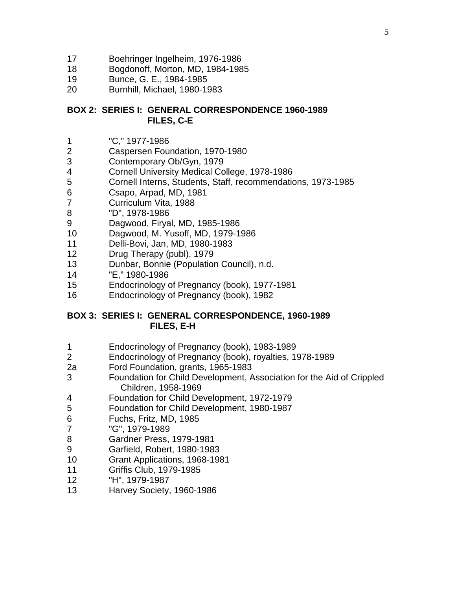- Boehringer Ingelheim, 1976-1986
- Bogdonoff, Morton, MD, 1984-1985
- Bunce, G. E., 1984-1985
- Burnhill, Michael, 1980-1983

### **BOX 2: SERIES I: GENERAL CORRESPONDENCE 1960-1989 FILES, C-E**

- "C," 1977-1986
- Caspersen Foundation, 1970-1980
- Contemporary Ob/Gyn, 1979
- Cornell University Medical College, 1978-1986
- Cornell Interns, Students, Staff, recommendations, 1973-1985
- Csapo, Arpad, MD, 1981
- Curriculum Vita, 1988
- "D", 1978-1986
- Dagwood, Firyal, MD, 1985-1986
- Dagwood, M. Yusoff, MD, 1979-1986
- Delli-Bovi, Jan, MD, 1980-1983
- Drug Therapy (publ), 1979
- Dunbar, Bonnie (Population Council), n.d.
- "E," 1980-1986
- Endocrinology of Pregnancy (book), 1977-1981
- Endocrinology of Pregnancy (book), 1982

### **BOX 3: SERIES I: GENERAL CORRESPONDENCE, 1960-1989 FILES, E-H**

- Endocrinology of Pregnancy (book), 1983-1989
- Endocrinology of Pregnancy (book), royalties, 1978-1989
- 2a Ford Foundation, grants, 1965-1983
- Foundation for Child Development, Association for the Aid of Crippled Children, 1958-1969
- Foundation for Child Development, 1972-1979
- Foundation for Child Development, 1980-1987
- Fuchs, Fritz, MD, 1985
- "G", 1979-1989
- Gardner Press, 1979-1981
- Garfield, Robert, 1980-1983
- Grant Applications, 1968-1981
- Griffis Club, 1979-1985
- "H", 1979-1987
- Harvey Society, 1960-1986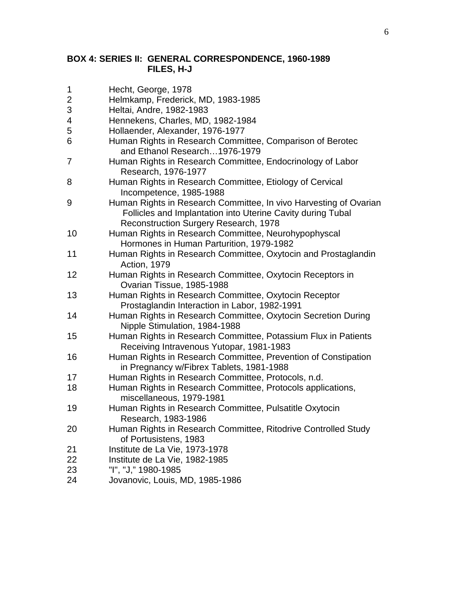### **BOX 4: SERIES II: GENERAL CORRESPONDENCE, 1960-1989 FILES, H-J**

- 1 Hecht, George, 1978
- 2 Helmkamp, Frederick, MD, 1983-1985
- 3 Heltai, Andre, 1982-1983
- 4 Hennekens, Charles, MD, 1982-1984
- 5 Hollaender, Alexander, 1976-1977
- 6 Human Rights in Research Committee, Comparison of Berotec and Ethanol Research…1976-1979
- 7 Human Rights in Research Committee, Endocrinology of Labor Research, 1976-1977
- 8 Human Rights in Research Committee, Etiology of Cervical Incompetence, 1985-1988
- 9 Human Rights in Research Committee, In vivo Harvesting of Ovarian Follicles and Implantation into Uterine Cavity during Tubal Reconstruction Surgery Research, 1978
- 10 Human Rights in Research Committee, Neurohypophyscal Hormones in Human Parturition, 1979-1982
- 11 Human Rights in Research Committee, Oxytocin and Prostaglandin Action, 1979
- 12 Human Rights in Research Committee, Oxytocin Receptors in Ovarian Tissue, 1985-1988
- 13 Human Rights in Research Committee, Oxytocin Receptor Prostaglandin Interaction in Labor, 1982-1991
- 14 Human Rights in Research Committee, Oxytocin Secretion During Nipple Stimulation, 1984-1988
- 15 Human Rights in Research Committee, Potassium Flux in Patients Receiving Intravenous Yutopar, 1981-1983
- 16 Human Rights in Research Committee, Prevention of Constipation in Pregnancy w/Fibrex Tablets, 1981-1988
- 17 Human Rights in Research Committee, Protocols, n.d.
- 18 Human Rights in Research Committee, Protocols applications, miscellaneous, 1979-1981
- 19 Human Rights in Research Committee, Pulsatitle Oxytocin Research, 1983-1986
- 20 Human Rights in Research Committee, Ritodrive Controlled Study of Portusistens, 1983
- 21 Institute de La Vie, 1973-1978
- 22 Institute de La Vie, 1982-1985
- 23 "I", "J," 1980-1985
- 24 Jovanovic, Louis, MD, 1985-1986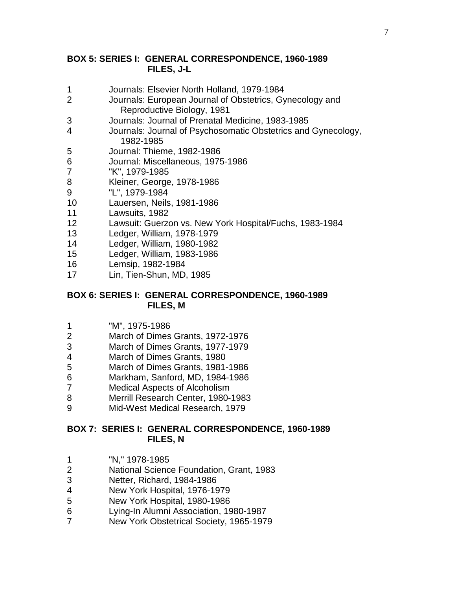### **BOX 5: SERIES I: GENERAL CORRESPONDENCE, 1960-1989 FILES, J-L**

- Journals: Elsevier North Holland, 1979-1984
- Journals: European Journal of Obstetrics, Gynecology and Reproductive Biology, 1981
- Journals: Journal of Prenatal Medicine, 1983-1985
- Journals: Journal of Psychosomatic Obstetrics and Gynecology, 1982-1985
- Journal: Thieme, 1982-1986
- Journal: Miscellaneous, 1975-1986
- "K", 1979-1985
- Kleiner, George, 1978-1986
- "L", 1979-1984
- Lauersen, Neils, 1981-1986
- Lawsuits, 1982
- Lawsuit: Guerzon vs. New York Hospital/Fuchs, 1983-1984
- Ledger, William, 1978-1979
- Ledger, William, 1980-1982
- Ledger, William, 1983-1986
- Lemsip, 1982-1984
- Lin, Tien-Shun, MD, 1985

#### **BOX 6: SERIES I: GENERAL CORRESPONDENCE, 1960-1989 FILES, M**

- "M", 1975-1986
- March of Dimes Grants, 1972-1976
- March of Dimes Grants, 1977-1979
- March of Dimes Grants, 1980
- March of Dimes Grants, 1981-1986
- Markham, Sanford, MD, 1984-1986
- Medical Aspects of Alcoholism
- Merrill Research Center, 1980-1983
- Mid-West Medical Research, 1979

### **BOX 7: SERIES I: GENERAL CORRESPONDENCE, 1960-1989 FILES, N**

- "N," 1978-1985
- National Science Foundation, Grant, 1983
- Netter, Richard, 1984-1986
- New York Hospital, 1976-1979
- New York Hospital, 1980-1986
- Lying-In Alumni Association, 1980-1987
- New York Obstetrical Society, 1965-1979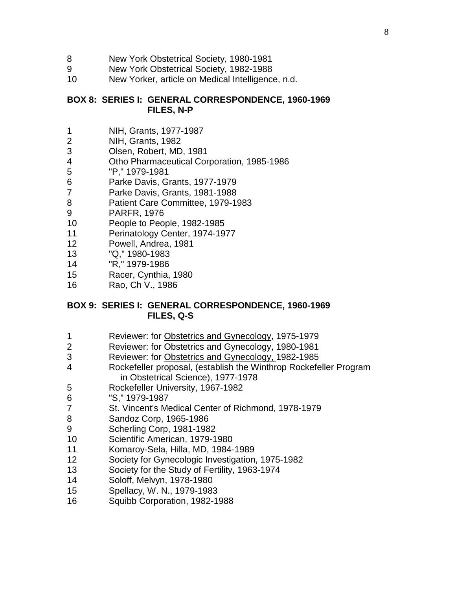- New York Obstetrical Society, 1980-1981
- New York Obstetrical Society, 1982-1988
- New Yorker, article on Medical Intelligence, n.d.

### **BOX 8: SERIES I: GENERAL CORRESPONDENCE, 1960-1969 FILES, N-P**

- NIH, Grants, 1977-1987
- NIH, Grants, 1982
- Olsen, Robert, MD, 1981
- Otho Pharmaceutical Corporation, 1985-1986
- "P," 1979-1981
- Parke Davis, Grants, 1977-1979
- Parke Davis, Grants, 1981-1988
- Patient Care Committee, 1979-1983
- PARFR, 1976
- People to People, 1982-1985
- Perinatology Center, 1974-1977
- Powell, Andrea, 1981
- "Q," 1980-1983
- "R," 1979-1986
- Racer, Cynthia, 1980
- Rao, Ch V., 1986

### **BOX 9: SERIES I: GENERAL CORRESPONDENCE, 1960-1969 FILES, Q-S**

- Reviewer: for Obstetrics and Gynecology, 1975-1979
- 2 Reviewer: for Obstetrics and Gynecology, 1980-1981
- Reviewer: for Obstetrics and Gynecology, 1982-1985
- Rockefeller proposal, (establish the Winthrop Rockefeller Program in Obstetrical Science), 1977-1978
- Rockefeller University, 1967-1982
- "S," 1979-1987
- St. Vincent's Medical Center of Richmond, 1978-1979
- Sandoz Corp, 1965-1986
- Scherling Corp, 1981-1982
- Scientific American, 1979-1980
- Komaroy-Sela, Hilla, MD, 1984-1989
- Society for Gynecologic Investigation, 1975-1982
- Society for the Study of Fertility, 1963-1974
- Soloff, Melvyn, 1978-1980
- Spellacy, W. N., 1979-1983
- Squibb Corporation, 1982-1988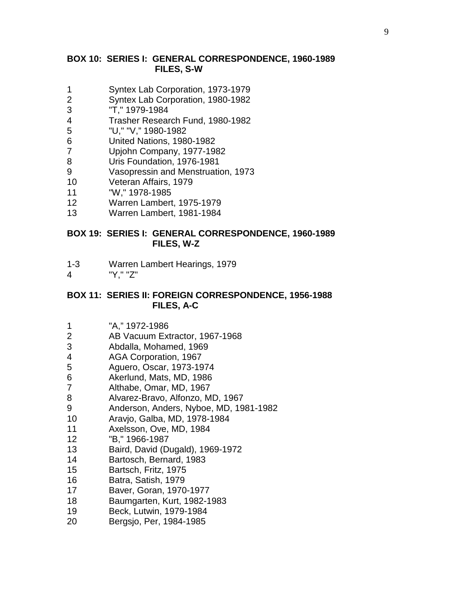### **BOX 10: SERIES I: GENERAL CORRESPONDENCE, 1960-1989 FILES, S-W**

- Syntex Lab Corporation, 1973-1979
- Syntex Lab Corporation, 1980-1982
- "T," 1979-1984
- Trasher Research Fund, 1980-1982
- "U," "V," 1980-1982
- United Nations, 1980-1982
- Upjohn Company, 1977-1982
- Uris Foundation, 1976-1981
- Vasopressin and Menstruation, 1973
- Veteran Affairs, 1979
- "W," 1978-1985
- Warren Lambert, 1975-1979
- Warren Lambert, 1981-1984

#### **BOX 19: SERIES I: GENERAL CORRESPONDENCE, 1960-1989 FILES, W-Z**

- 1-3 Warren Lambert Hearings, 1979
- "Y," "Z"

#### **BOX 11: SERIES II: FOREIGN CORRESPONDENCE, 1956-1988 FILES, A-C**

- "A," 1972-1986
- AB Vacuum Extractor, 1967-1968
- Abdalla, Mohamed, 1969
- AGA Corporation, 1967
- Aguero, Oscar, 1973-1974
- Akerlund, Mats, MD, 1986
- Althabe, Omar, MD, 1967
- Alvarez-Bravo, Alfonzo, MD, 1967
- Anderson, Anders, Nyboe, MD, 1981-1982
- Aravjo, Galba, MD, 1978-1984
- Axelsson, Ove, MD, 1984
- "B," 1966-1987
- Baird, David (Dugald), 1969-1972
- Bartosch, Bernard, 1983
- Bartsch, Fritz, 1975
- Batra, Satish, 1979
- Baver, Goran, 1970-1977
- Baumgarten, Kurt, 1982-1983
- Beck, Lutwin, 1979-1984
- Bergsjo, Per, 1984-1985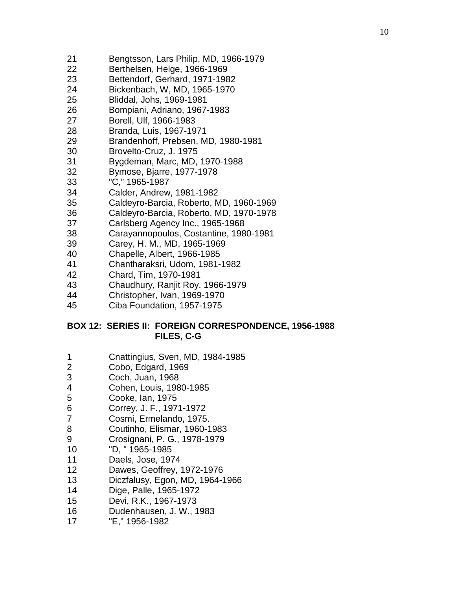- Bengtsson, Lars Philip, MD, 1966-1979
- Berthelsen, Helge, 1966-1969
- Bettendorf, Gerhard, 1971-1982
- Bickenbach, W, MD, 1965-1970
- Bliddal, Johs, 1969-1981
- Bompiani, Adriano, 1967-1983
- Borell, Ulf, 1966-1983
- Branda, Luis, 1967-1971
- Brandenhoff, Prebsen, MD, 1980-1981
- Brovelto-Cruz, J. 1975
- Bygdeman, Marc, MD, 1970-1988
- Bymose, Bjarre, 1977-1978
- "C," 1965-1987
- Calder, Andrew, 1981-1982
- Caldeyro-Barcia, Roberto, MD, 1960-1969
- Caldeyro-Barcia, Roberto, MD, 1970-1978
- Carlsberg Agency Inc., 1965-1968
- Carayannopoulos, Costantine, 1980-1981
- Carey, H. M., MD, 1965-1969
- Chapelle, Albert, 1966-1985
- Chantharaksri, Udom, 1981-1982
- Chard, Tim, 1970-1981
- Chaudhury, Ranjit Roy, 1966-1979
- Christopher, Ivan, 1969-1970
- Ciba Foundation, 1957-1975

### **BOX 12: SERIES II: FOREIGN CORRESPONDENCE, 1956-1988 FILES, C-G**

- Cnattingius, Sven, MD, 1984-1985
- Cobo, Edgard, 1969
- Coch, Juan, 1968
- Cohen, Louis, 1980-1985
- Cooke, Ian, 1975
- Correy, J. F., 1971-1972
- Cosmi, Ermelando, 1975.
- 8 Coutinho, Elismar, 1960-1983
- Crosignani, P. G., 1978-1979
- "D, " 1965-1985
- Daels, Jose, 1974
- Dawes, Geoffrey, 1972-1976
- Diczfalusy, Egon, MD, 1964-1966
- Dige, Palle, 1965-1972
- Devi, R.K., 1967-1973
- Dudenhausen, J. W., 1983
- "E," 1956-1982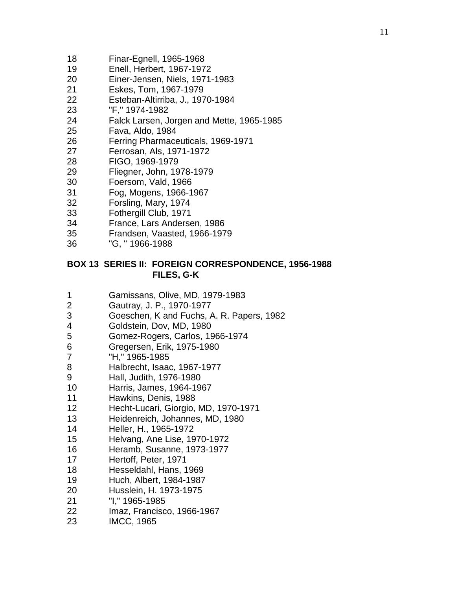- Finar-Egnell, 1965-1968
- Enell, Herbert, 1967-1972
- Einer-Jensen, Niels, 1971-1983
- Eskes, Tom, 1967-1979
- Esteban-Altirriba, J., 1970-1984
- "F," 1974-1982
- Falck Larsen, Jorgen and Mette, 1965-1985
- Fava, Aldo, 1984
- Ferring Pharmaceuticals, 1969-1971
- Ferrosan, Als, 1971-1972
- FIGO, 1969-1979
- Fliegner, John, 1978-1979
- Foersom, Vald, 1966
- Fog, Mogens, 1966-1967
- Forsling, Mary, 1974
- Fothergill Club, 1971
- France, Lars Andersen, 1986
- Frandsen, Vaasted, 1966-1979
- "G, " 1966-1988

### **BOX 13 SERIES II: FOREIGN CORRESPONDENCE, 1956-1988 FILES, G-K**

- Gamissans, Olive, MD, 1979-1983
- Gautray, J. P., 1970-1977
- Goeschen, K and Fuchs, A. R. Papers, 1982
- Goldstein, Dov, MD, 1980
- Gomez-Rogers, Carlos, 1966-1974
- Gregersen, Erik, 1975-1980
- "H," 1965-1985
- Halbrecht, Isaac, 1967-1977
- Hall, Judith, 1976-1980
- Harris, James, 1964-1967
- Hawkins, Denis, 1988
- Hecht-Lucari, Giorgio, MD, 1970-1971
- Heidenreich, Johannes, MD, 1980
- Heller, H., 1965-1972
- Helvang, Ane Lise, 1970-1972
- Heramb, Susanne, 1973-1977
- Hertoff, Peter, 1971
- Hesseldahl, Hans, 1969
- Huch, Albert, 1984-1987
- Husslein, H. 1973-1975
- "I," 1965-1985
- Imaz, Francisco, 1966-1967
- IMCC, 1965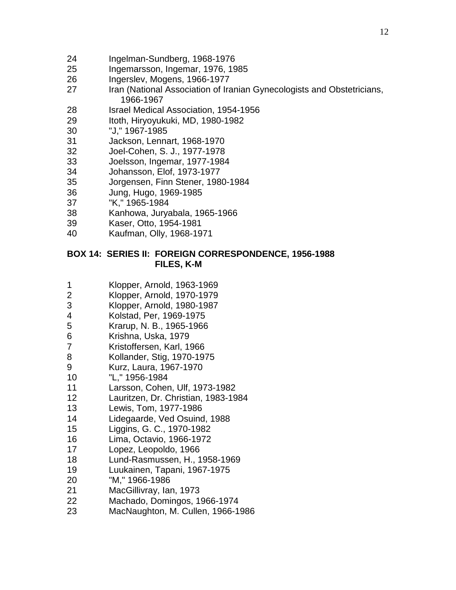- Ingelman-Sundberg, 1968-1976
- Ingemarsson, Ingemar, 1976, 1985
- Ingerslev, Mogens, 1966-1977
- Iran (National Association of Iranian Gynecologists and Obstetricians, 1966-1967
- Israel Medical Association, 1954-1956
- Itoth, Hiryoyukuki, MD, 1980-1982
- "J," 1967-1985
- Jackson, Lennart, 1968-1970
- Joel-Cohen, S. J., 1977-1978
- Joelsson, Ingemar, 1977-1984
- Johansson, Elof, 1973-1977
- Jorgensen, Finn Stener, 1980-1984
- Jung, Hugo, 1969-1985
- "K," 1965-1984
- Kanhowa, Juryabala, 1965-1966
- Kaser, Otto, 1954-1981
- Kaufman, Olly, 1968-1971

### **BOX 14: SERIES II: FOREIGN CORRESPONDENCE, 1956-1988 FILES, K-M**

- Klopper, Arnold, 1963-1969
- Klopper, Arnold, 1970-1979
- Klopper, Arnold, 1980-1987
- Kolstad, Per, 1969-1975
- Krarup, N. B., 1965-1966
- Krishna, Uska, 1979
- Kristoffersen, Karl, 1966
- Kollander, Stig, 1970-1975
- Kurz, Laura, 1967-1970
- "L," 1956-1984
- Larsson, Cohen, Ulf, 1973-1982
- Lauritzen, Dr. Christian, 1983-1984
- Lewis, Tom, 1977-1986
- Lidegaarde, Ved Osuind, 1988
- Liggins, G. C., 1970-1982
- Lima, Octavio, 1966-1972
- Lopez, Leopoldo, 1966
- Lund-Rasmussen, H., 1958-1969
- Luukainen, Tapani, 1967-1975
- "M," 1966-1986
- MacGillivray, Ian, 1973
- Machado, Domingos, 1966-1974
- MacNaughton, M. Cullen, 1966-1986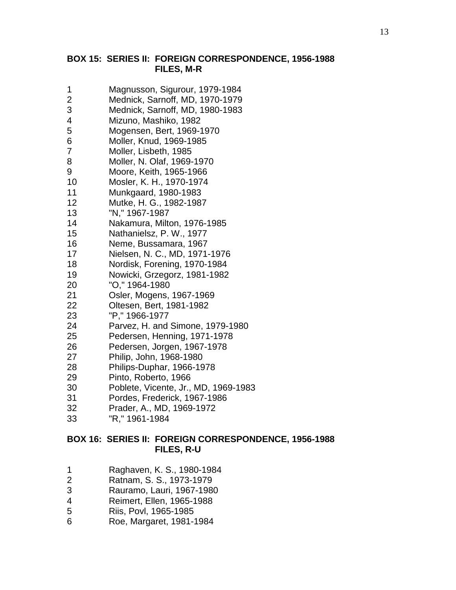### **BOX 15: SERIES II: FOREIGN CORRESPONDENCE, 1956-1988 FILES, M-R**

- Magnusson, Sigurour, 1979-1984
- Mednick, Sarnoff, MD, 1970-1979
- Mednick, Sarnoff, MD, 1980-1983
- Mizuno, Mashiko, 1982
- Mogensen, Bert, 1969-1970
- Moller, Knud, 1969-1985
- Moller, Lisbeth, 1985
- Moller, N. Olaf, 1969-1970
- Moore, Keith, 1965-1966
- Mosler, K. H., 1970-1974
- Munkgaard, 1980-1983
- Mutke, H. G., 1982-1987
- "N," 1967-1987
- Nakamura, Milton, 1976-1985
- Nathanielsz, P. W., 1977
- Neme, Bussamara, 1967
- Nielsen, N. C., MD, 1971-1976
- Nordisk, Forening, 1970-1984
- Nowicki, Grzegorz, 1981-1982
- "O," 1964-1980
- Osler, Mogens, 1967-1969
- Oltesen, Bert, 1981-1982
- "P," 1966-1977
- Parvez, H. and Simone, 1979-1980
- Pedersen, Henning, 1971-1978
- Pedersen, Jorgen, 1967-1978
- Philip, John, 1968-1980
- Philips-Duphar, 1966-1978
- Pinto, Roberto, 1966
- Poblete, Vicente, Jr., MD, 1969-1983
- Pordes, Frederick, 1967-1986
- Prader, A., MD, 1969-1972
- "R," 1961-1984

### **BOX 16: SERIES II: FOREIGN CORRESPONDENCE, 1956-1988 FILES, R-U**

- Raghaven, K. S., 1980-1984
- Ratnam, S. S., 1973-1979
- Rauramo, Lauri, 1967-1980
- Reimert, Ellen, 1965-1988
- Riis, Povl, 1965-1985
- Roe, Margaret, 1981-1984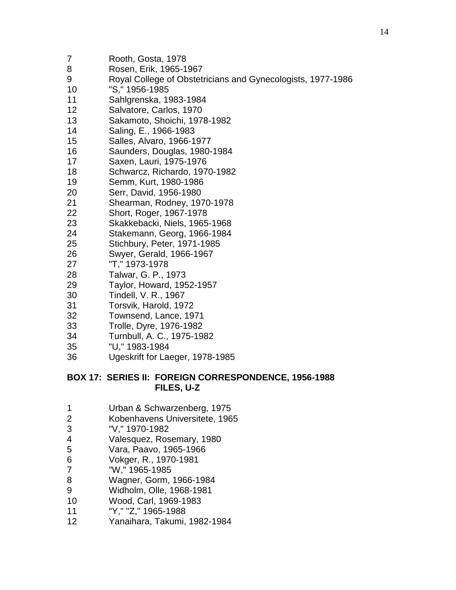| 8  | Rosen, Erik, 1965-1967                                      |
|----|-------------------------------------------------------------|
| 9  | Royal College of Obstetricians and Gynecologists, 1977-1986 |
| 10 | "S," 1956-1985                                              |
| 11 | Sahlgrenska, 1983-1984                                      |
| 12 | Salvatore, Carlos, 1970                                     |
| 13 | Sakamoto, Shoichi, 1978-1982                                |
| 14 | Saling, E., 1966-1983                                       |
| 15 | Salles, Alvaro, 1966-1977                                   |
| 16 | Saunders, Douglas, 1980-1984                                |
| 17 | Saxen, Lauri, 1975-1976                                     |
| 18 | Schwarcz, Richardo, 1970-1982                               |
| 19 | Semm, Kurt, 1980-1986                                       |
| 20 | Serr, David, 1956-1980                                      |
| 21 | Shearman, Rodney, 1970-1978                                 |
| 22 | Short, Roger, 1967-1978                                     |
| 23 | Skakkebacki, Niels, 1965-1968                               |
| 24 | Stakemann, Georg, 1966-1984                                 |
| 25 | Stichbury, Peter, 1971-1985                                 |
| 26 | Swyer, Gerald, 1966-1967                                    |
| 27 | "T," 1973-1978                                              |
| 28 | Talwar, G. P., 1973                                         |
| 29 | Taylor, Howard, 1952-1957                                   |
| 30 | Tindell, V. R., 1967                                        |
| 31 | Torsvik, Harold, 1972                                       |
| 32 | Townsend, Lance, 1971                                       |
| 33 | Trolle, Dyre, 1976-1982                                     |
| 34 | Turnbull, A. C., 1975-1982                                  |
| 35 | "I I " 1083-108 <i>4</i>                                    |

"U," 1983-1984

Rooth, Gosta, 1978

Ugeskrift for Laeger, 1978-1985

## **BOX 17: SERIES II: FOREIGN CORRESPONDENCE, 1956-1988 FILES, U-Z**

- 1 Urban & Schwarzenberg, 1975<br>2 Kobenhavens Universitete, 196
- 2 Kobenhavens Universitete, 1965<br>3 TV," 1970-1982
- "V," 1970-1982
- Valesquez, Rosemary, 1980
- Vara, Paavo, 1965-1966
- Vokger, R., 1970-1981
- "W," 1965-1985
- Wagner, Gorm, 1966-1984
- Widholm, Olle, 1968-1981
- Wood, Carl, 1969-1983
- "Y," "Z," 1965-1988
- Yanaihara, Takumi, 1982-1984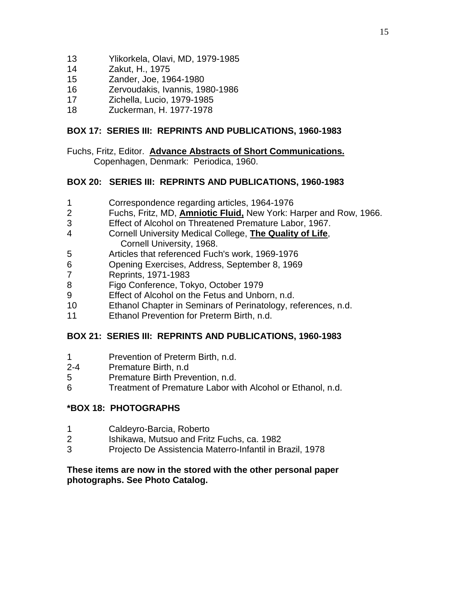- Ylikorkela, Olavi, MD, 1979-1985
- Zakut, H., 1975
- Zander, Joe, 1964-1980
- Zervoudakis, Ivannis, 1980-1986
- Zichella, Lucio, 1979-1985
- Zuckerman, H. 1977-1978

## **BOX 17: SERIES III: REPRINTS AND PUBLICATIONS, 1960-1983**

Fuchs, Fritz, Editor. **Advance Abstracts of Short Communications.** Copenhagen, Denmark: Periodica, 1960.

## **BOX 20: SERIES III: REPRINTS AND PUBLICATIONS, 1960-1983**

- Correspondence regarding articles, 1964-1976
- Fuchs, Fritz, MD, **Amniotic Fluid,** New York: Harper and Row, 1966.
- 3 Effect of Alcohol on Threatened Premature Labor, 1967.<br>4 Cornell University Medical College. The Quality of Life.
- Cornell University Medical College, **The Quality of Life**, Cornell University, 1968.
- Articles that referenced Fuch's work, 1969-1976
- Opening Exercises, Address, September 8, 1969
- Reprints, 1971-1983
- Figo Conference, Tokyo, October 1979
- Effect of Alcohol on the Fetus and Unborn, n.d.
- Ethanol Chapter in Seminars of Perinatology, references, n.d.
- Ethanol Prevention for Preterm Birth, n.d.

## **BOX 21: SERIES III: REPRINTS AND PUBLICATIONS, 1960-1983**

- Prevention of Preterm Birth, n.d.
- 2-4 Premature Birth, n.d
- Premature Birth Prevention, n.d.
- Treatment of Premature Labor with Alcohol or Ethanol, n.d.

### **\*BOX 18: PHOTOGRAPHS**

- Caldeyro-Barcia, Roberto
- Ishikawa, Mutsuo and Fritz Fuchs, ca. 1982
- Projecto De Assistencia Materro-Infantil in Brazil, 1978

### **These items are now in the stored with the other personal paper photographs. See Photo Catalog.**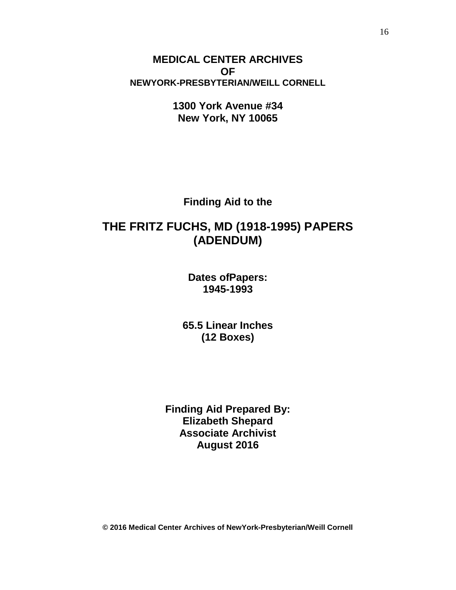**MEDICAL CENTER ARCHIVES OF NEWYORK-PRESBYTERIAN/WEILL CORNELL**

> **1300 York Avenue #34 New York, NY 10065**

**Finding Aid to the**

# **THE FRITZ FUCHS, MD (1918-1995) PAPERS (ADENDUM)**

**Dates ofPapers: 1945-1993**

**65.5 Linear Inches (12 Boxes)**

**Finding Aid Prepared By: Elizabeth Shepard Associate Archivist August 2016**

**© 2016 Medical Center Archives of NewYork-Presbyterian/Weill Cornell**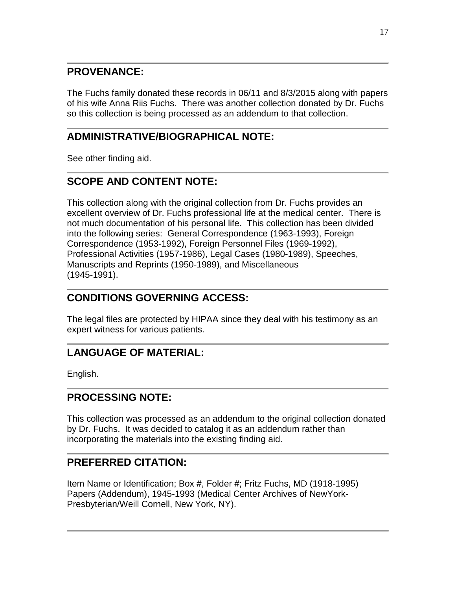## **PROVENANCE:**

The Fuchs family donated these records in 06/11 and 8/3/2015 along with papers of his wife Anna Riis Fuchs. There was another collection donated by Dr. Fuchs so this collection is being processed as an addendum to that collection.

# **ADMINISTRATIVE/BIOGRAPHICAL NOTE:**

See other finding aid.

# <span id="page-16-0"></span>**SCOPE AND CONTENT NOTE:**

This collection along with the original collection from Dr. Fuchs provides an excellent overview of Dr. Fuchs professional life at the medical center. There is not much documentation of his personal life. This collection has been divided into the following series: General Correspondence (1963-1993), Foreign Correspondence (1953-1992), Foreign Personnel Files (1969-1992), Professional Activities (1957-1986), Legal Cases (1980-1989), Speeches, Manuscripts and Reprints (1950-1989), and Miscellaneous (1945-1991).

# **CONDITIONS GOVERNING ACCESS:**

The legal files are protected by HIPAA since they deal with his testimony as an expert witness for various patients.

# **LANGUAGE OF MATERIAL:**

English.

# **PROCESSING NOTE:**

This collection was processed as an addendum to the original collection donated by Dr. Fuchs. It was decided to catalog it as an addendum rather than incorporating the materials into the existing finding aid.

# **PREFERRED CITATION:**

Item Name or Identification; Box #, Folder #; Fritz Fuchs, MD (1918-1995) Papers (Addendum), 1945-1993 (Medical Center Archives of NewYork-Presbyterian/Weill Cornell, New York, NY).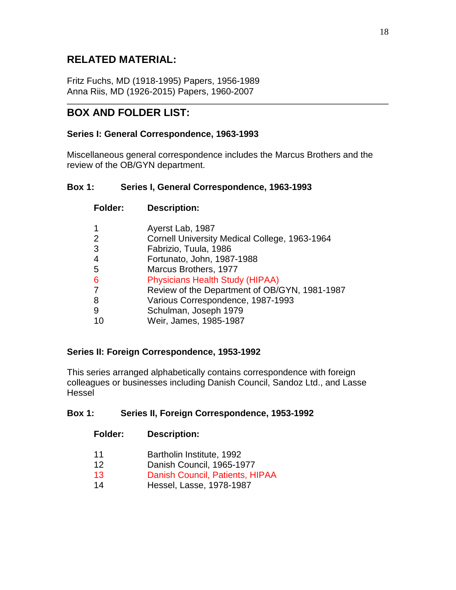# **RELATED MATERIAL:**

Fritz Fuchs, MD (1918-1995) Papers, 1956-1989 Anna Riis, MD (1926-2015) Papers, 1960-2007

## <span id="page-17-0"></span>**BOX AND FOLDER LIST:**

### **Series I: General Correspondence, 1963-1993**

Miscellaneous general correspondence includes the Marcus Brothers and the review of the OB/GYN department.

### **Box 1: Series I, General Correspondence, 1963-1993**

| <b>Folder:</b> | <b>Description:</b>                           |
|----------------|-----------------------------------------------|
|                | Ayerst Lab, 1987                              |
|                | Cornell University Medical College, 1963-1964 |
| 3              | Fabrizio, Tuula, 1986                         |
| 4              | Fortunato, John, 1987-1988                    |
| -5             | Marcus Brothers, 1977                         |
| 6              | <b>Physicians Health Study (HIPAA)</b>        |
|                | Review of the Department of OB/GYN, 1981-1987 |
| 8              | Various Correspondence, 1987-1993             |
| 9              | Schulman, Joseph 1979                         |
|                | Weir, James, 1985-1987                        |

### **Series II: Foreign Correspondence, 1953-1992**

This series arranged alphabetically contains correspondence with foreign colleagues or businesses including Danish Council, Sandoz Ltd., and Lasse Hessel

### **Box 1: Series II, Foreign Correspondence, 1953-1992**

- 11 Bartholin Institute, 1992
- 12 Danish Council, 1965-1977
- 13 Danish Council, Patients, HIPAA
- 14 Hessel, Lasse, 1978-1987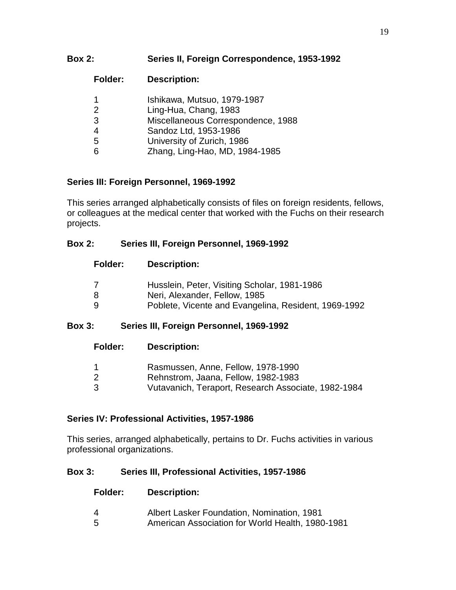## **Box 2: Series II, Foreign Correspondence, 1953-1992**

| <b>Folder:</b> | <b>Description:</b>                |
|----------------|------------------------------------|
|                | Ishikawa, Mutsuo, 1979-1987        |
| 2              | Ling-Hua, Chang, 1983              |
| 3              | Miscellaneous Correspondence, 1988 |
| 4              | Sandoz Ltd, 1953-1986              |
| 5              | University of Zurich, 1986         |
|                | Zhang, Ling-Hao, MD, 1984-1985     |

## **Series III: Foreign Personnel, 1969-1992**

This series arranged alphabetically consists of files on foreign residents, fellows, or colleagues at the medical center that worked with the Fuchs on their research projects.

### **Box 2: Series III, Foreign Personnel, 1969-1992**

| <b>Folder:</b> | <b>Description:</b> |
|----------------|---------------------|
|----------------|---------------------|

|   | Husslein, Peter, Visiting Scholar, 1981-1986         |
|---|------------------------------------------------------|
| 8 | Neri, Alexander, Fellow, 1985                        |
| 9 | Poblete, Vicente and Evangelina, Resident, 1969-1992 |

## **Box 3: Series III, Foreign Personnel, 1969-1992**

| <b>Folder:</b> | <b>Description:</b>                                                                                                              |
|----------------|----------------------------------------------------------------------------------------------------------------------------------|
| -3             | Rasmussen, Anne, Fellow, 1978-1990<br>Rehnstrom, Jaana, Fellow, 1982-1983<br>Vutavanich, Teraport, Research Associate, 1982-1984 |

## **Series IV: Professional Activities, 1957-1986**

This series, arranged alphabetically, pertains to Dr. Fuchs activities in various professional organizations.

### **Box 3: Series III, Professional Activities, 1957-1986**

| Folder: | <b>Description:</b>                              |
|---------|--------------------------------------------------|
| 4       | Albert Lasker Foundation, Nomination, 1981       |
| 5.      | American Association for World Health, 1980-1981 |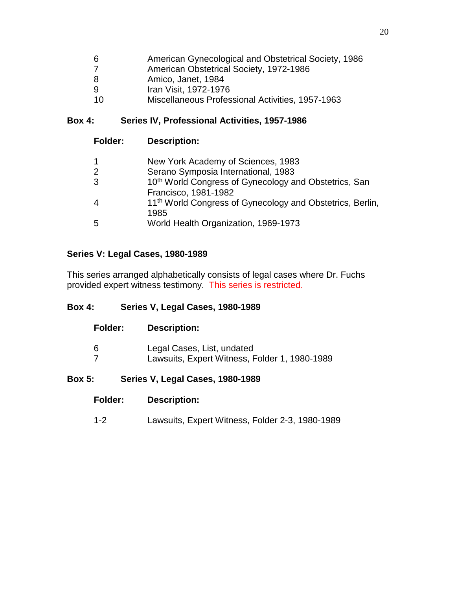| -6 | American Gynecological and Obstetrical Society, 1986 |
|----|------------------------------------------------------|
| -7 | American Obstetrical Society, 1972-1986              |
| -8 | Amico, Janet, 1984                                   |
| -9 | Iran Visit, 1972-1976                                |
| 10 | Miscellaneous Professional Activities, 1957-1963     |

# **Box 4: Series IV, Professional Activities, 1957-1986**

| <b>Folder:</b> | <b>Description:</b>                                                                       |
|----------------|-------------------------------------------------------------------------------------------|
| $\mathbf 1$    | New York Academy of Sciences, 1983                                                        |
| 2              | Serano Symposia International, 1983                                                       |
| 3              | 10 <sup>th</sup> World Congress of Gynecology and Obstetrics, San<br>Francisco, 1981-1982 |
| $\overline{4}$ | 11 <sup>th</sup> World Congress of Gynecology and Obstetrics, Berlin,<br>1985             |
| 5              | World Health Organization, 1969-1973                                                      |

## **Series V: Legal Cases, 1980-1989**

This series arranged alphabetically consists of legal cases where Dr. Fuchs provided expert witness testimony. This series is restricted.

## **Box 4: Series V, Legal Cases, 1980-1989**

| <b>Folder:</b> | <b>Description:</b>                                                         |
|----------------|-----------------------------------------------------------------------------|
| 6              | Legal Cases, List, undated<br>Lawsuits, Expert Witness, Folder 1, 1980-1989 |

## **Box 5: Series V, Legal Cases, 1980-1989**

1-2 Lawsuits, Expert Witness, Folder 2-3, 1980-1989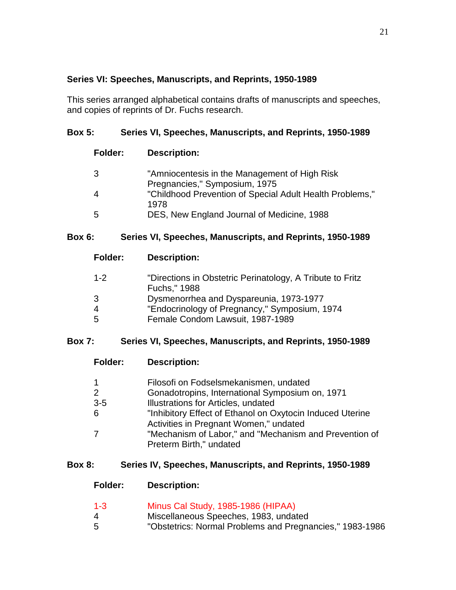## **Series VI: Speeches, Manuscripts, and Reprints, 1950-1989**

This series arranged alphabetical contains drafts of manuscripts and speeches, and copies of reprints of Dr. Fuchs research.

## **Box 5: Series VI, Speeches, Manuscripts, and Reprints, 1950-1989**

| <b>Folder:</b> | <b>Description:</b>                                                            |
|----------------|--------------------------------------------------------------------------------|
| -3             | "Amniocentesis in the Management of High Risk<br>Pregnancies," Symposium, 1975 |
|                | "Childhood Prevention of Special Adult Health Problems,"<br>1978               |
| -5             | DES, New England Journal of Medicine, 1988                                     |

## **Box 6: Series VI, Speeches, Manuscripts, and Reprints, 1950-1989**

| <b>Folder:</b> | <b>Description:</b>                                                       |
|----------------|---------------------------------------------------------------------------|
| $1 - 2$        | "Directions in Obstetric Perinatology, A Tribute to Fritz<br>Fuchs," 1988 |
| 3              | Dysmenorrhea and Dyspareunia, 1973-1977                                   |
| 4              | "Endocrinology of Pregnancy," Symposium, 1974                             |
| .5             | Female Condom Lawsuit, 1987-1989                                          |
|                |                                                                           |

| <b>Box 7:</b> |  | Series VI, Speeches, Manuscripts, and Reprints, 1950-1989 |  |
|---------------|--|-----------------------------------------------------------|--|
|---------------|--|-----------------------------------------------------------|--|

| Folder: | <b>Description:</b>                                       |
|---------|-----------------------------------------------------------|
|         | Filosofi on Fodselsmekanismen, undated                    |
|         | Gonadotropins, International Symposium on, 1971           |
| $3-5$   | Illustrations for Articles, undated                       |
| 6       | "Inhibitory Effect of Ethanol on Oxytocin Induced Uterine |
|         | Activities in Pregnant Women," undated                    |
|         | "Mechanism of Labor," and "Mechanism and Prevention of    |
|         | Preterm Birth," undated                                   |
|         |                                                           |

## **Box 8: Series IV, Speeches, Manuscripts, and Reprints, 1950-1989**

| $1 - 3$ | Minus Cal Study, 1985-1986 (HIPAA)                       |
|---------|----------------------------------------------------------|
| 4       | Miscellaneous Speeches, 1983, undated                    |
| 5       | "Obstetrics: Normal Problems and Pregnancies," 1983-1986 |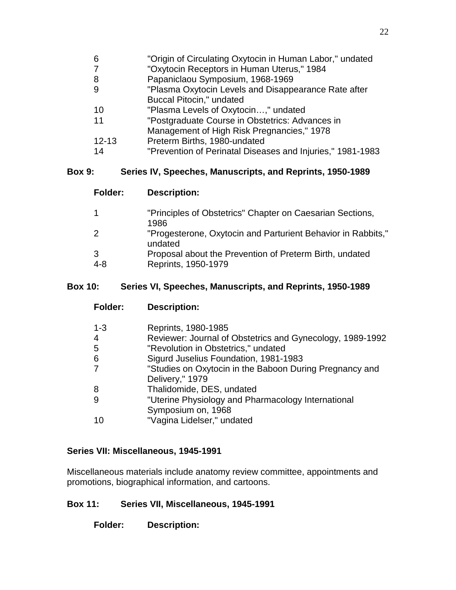| 6              | "Origin of Circulating Oxytocin in Human Labor," undated   |
|----------------|------------------------------------------------------------|
| $\overline{7}$ | "Oxytocin Receptors in Human Uterus," 1984                 |
| 8              | Papaniclaou Symposium, 1968-1969                           |
| 9              | "Plasma Oxytocin Levels and Disappearance Rate after       |
|                | <b>Buccal Pitocin," undated</b>                            |
| 10             | "Plasma Levels of Oxytocin," undated                       |
| 11             | "Postgraduate Course in Obstetrics: Advances in            |
|                | Management of High Risk Pregnancies," 1978                 |
| $12 - 13$      | Preterm Births, 1980-undated                               |
| 14             | "Prevention of Perinatal Diseases and Injuries," 1981-1983 |
|                |                                                            |

## **Box 9: Series IV, Speeches, Manuscripts, and Reprints, 1950-1989**

| <b>Folder:</b> | <b>Description:</b>                                                     |
|----------------|-------------------------------------------------------------------------|
|                | "Principles of Obstetrics" Chapter on Caesarian Sections,<br>1986       |
|                | "Progesterone, Oxytocin and Parturient Behavior in Rabbits,"<br>undated |
|                | Proposal about the Prevention of Preterm Birth, undated                 |

4-8 Reprints, 1950-1979

**Folder: Description:**

## **Box 10: Series VI, Speeches, Manuscripts, and Reprints, 1950-1989**

| $1 - 3$ | Reprints, 1980-1985                                       |
|---------|-----------------------------------------------------------|
| 4       | Reviewer: Journal of Obstetrics and Gynecology, 1989-1992 |
| 5       | "Revolution in Obstetrics," undated                       |
| 6       | Sigurd Juselius Foundation, 1981-1983                     |
| 7       | "Studies on Oxytocin in the Baboon During Pregnancy and   |
|         | Delivery," 1979                                           |
| 8       | Thalidomide, DES, undated                                 |
| 9       | "Uterine Physiology and Pharmacology International        |
|         | Symposium on, 1968                                        |
| 10      | "Vagina Lidelser," undated                                |
|         |                                                           |

## **Series VII: Miscellaneous, 1945-1991**

Miscellaneous materials include anatomy review committee, appointments and promotions, biographical information, and cartoons.

## **Box 11: Series VII, Miscellaneous, 1945-1991**

**Folder: Description:**